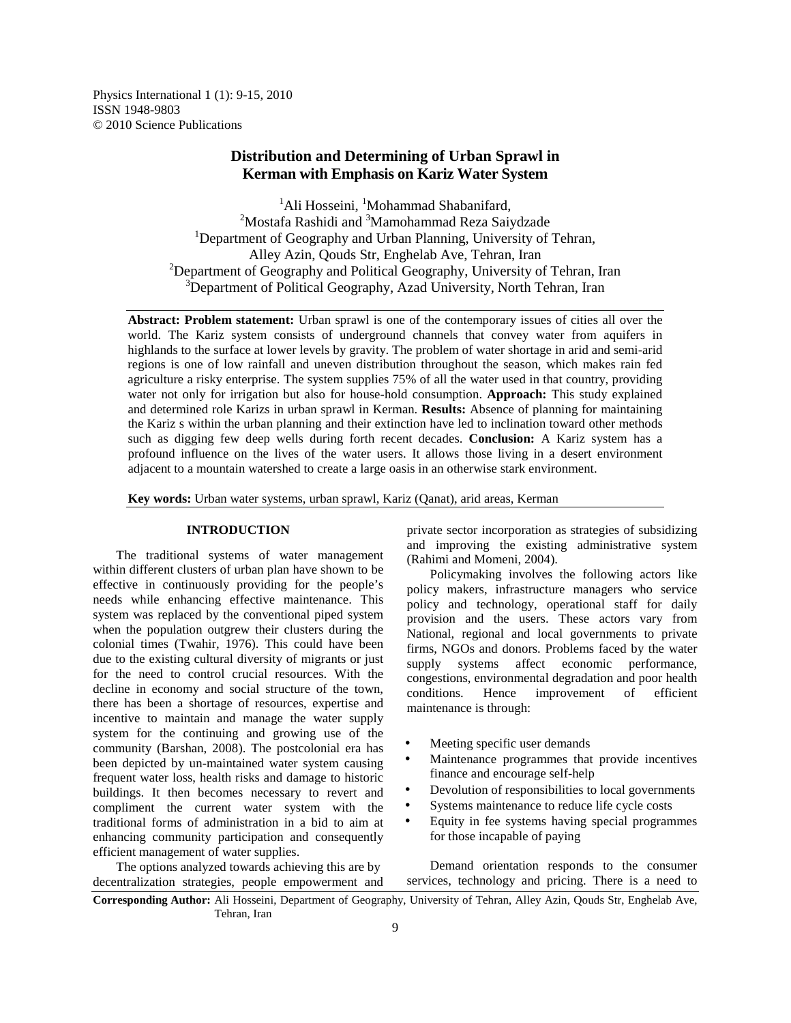Physics International 1 (1): 9-15, 2010 ISSN 1948-9803 © 2010 Science Publications

# **Distribution and Determining of Urban Sprawl in Kerman with Emphasis on Kariz Water System**

<sup>1</sup>Ali Hosseini, <sup>1</sup>Mohammad Shabanifard, <sup>2</sup>Mostafa Rashidi and <sup>3</sup>Mamohammad Reza Saiydzade <sup>1</sup>Department of Geography and Urban Planning, University of Tehran, Alley Azin, Qouds Str, Enghelab Ave, Tehran, Iran <sup>2</sup>Department of Geography and Political Geography, University of Tehran, Iran <sup>3</sup>Department of Political Geography, Azad University, North Tehran, Iran

**Abstract: Problem statement:** Urban sprawl is one of the contemporary issues of cities all over the world. The Kariz system consists of underground channels that convey water from aquifers in highlands to the surface at lower levels by gravity. The problem of water shortage in arid and semi-arid regions is one of low rainfall and uneven distribution throughout the season, which makes rain fed agriculture a risky enterprise. The system supplies 75% of all the water used in that country, providing water not only for irrigation but also for house-hold consumption. **Approach:** This study explained and determined role Karizs in urban sprawl in Kerman. **Results:** Absence of planning for maintaining the Kariz s within the urban planning and their extinction have led to inclination toward other methods such as digging few deep wells during forth recent decades. **Conclusion:** A Kariz system has a profound influence on the lives of the water users. It allows those living in a desert environment adjacent to a mountain watershed to create a large oasis in an otherwise stark environment.

**Key words:** Urban water systems, urban sprawl, Kariz (Qanat), arid areas, Kerman

## **INTRODUCTION**

 The traditional systems of water management within different clusters of urban plan have shown to be effective in continuously providing for the people's needs while enhancing effective maintenance. This system was replaced by the conventional piped system when the population outgrew their clusters during the colonial times (Twahir, 1976). This could have been due to the existing cultural diversity of migrants or just for the need to control crucial resources. With the decline in economy and social structure of the town, there has been a shortage of resources, expertise and incentive to maintain and manage the water supply system for the continuing and growing use of the community (Barshan, 2008). The postcolonial era has been depicted by un-maintained water system causing frequent water loss, health risks and damage to historic buildings. It then becomes necessary to revert and compliment the current water system with the traditional forms of administration in a bid to aim at enhancing community participation and consequently efficient management of water supplies.

 The options analyzed towards achieving this are by decentralization strategies, people empowerment and private sector incorporation as strategies of subsidizing and improving the existing administrative system (Rahimi and Momeni, 2004).

 Policymaking involves the following actors like policy makers, infrastructure managers who service policy and technology, operational staff for daily provision and the users. These actors vary from National, regional and local governments to private firms, NGOs and donors. Problems faced by the water supply systems affect economic performance, congestions, environmental degradation and poor health conditions. Hence improvement of efficient maintenance is through:

- Meeting specific user demands
- Maintenance programmes that provide incentives finance and encourage self-help
- Devolution of responsibilities to local governments
- Systems maintenance to reduce life cycle costs
- Equity in fee systems having special programmes for those incapable of paying

 Demand orientation responds to the consumer services, technology and pricing. There is a need to

**Corresponding Author:** Ali Hosseini, Department of Geography, University of Tehran, Alley Azin, Qouds Str, Enghelab Ave, Tehran, Iran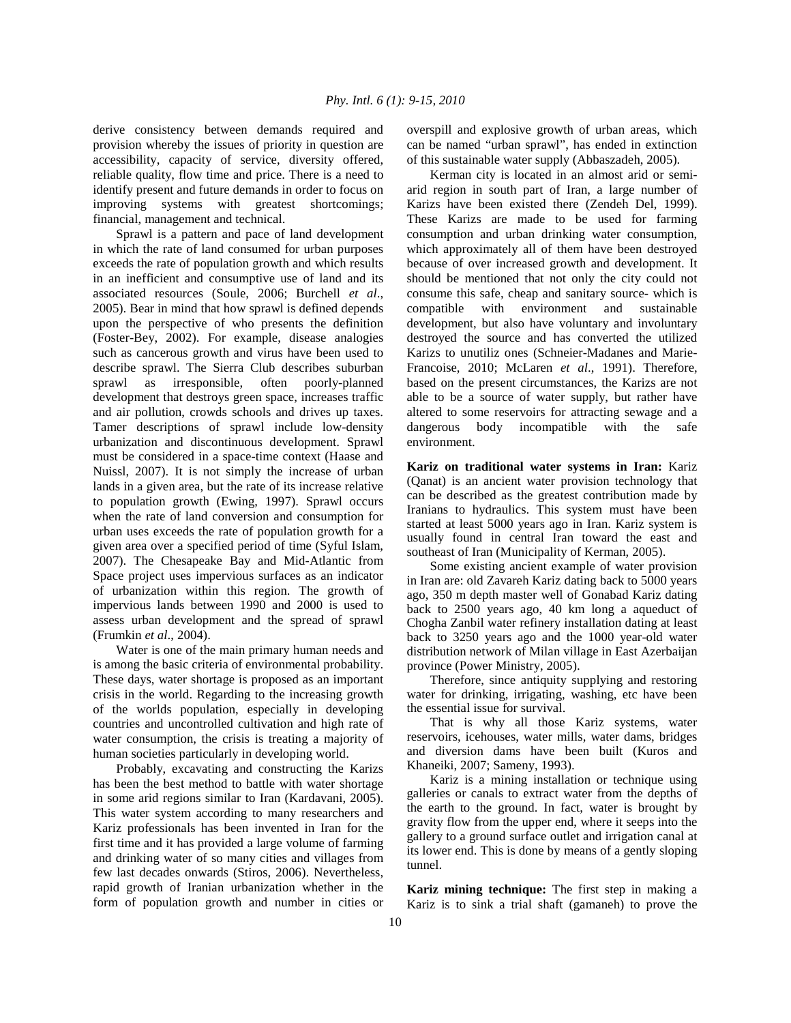derive consistency between demands required and provision whereby the issues of priority in question are accessibility, capacity of service, diversity offered, reliable quality, flow time and price. There is a need to identify present and future demands in order to focus on improving systems with greatest shortcomings; financial, management and technical.

 Sprawl is a pattern and pace of land development in which the rate of land consumed for urban purposes exceeds the rate of population growth and which results in an inefficient and consumptive use of land and its associated resources (Soule, 2006; Burchell *et al*., 2005). Bear in mind that how sprawl is defined depends upon the perspective of who presents the definition (Foster-Bey, 2002). For example, disease analogies such as cancerous growth and virus have been used to describe sprawl. The Sierra Club describes suburban sprawl as irresponsible, often poorly-planned development that destroys green space, increases traffic and air pollution, crowds schools and drives up taxes. Tamer descriptions of sprawl include low-density urbanization and discontinuous development. Sprawl must be considered in a space-time context (Haase and Nuissl, 2007). It is not simply the increase of urban lands in a given area, but the rate of its increase relative to population growth (Ewing, 1997). Sprawl occurs when the rate of land conversion and consumption for urban uses exceeds the rate of population growth for a given area over a specified period of time (Syful Islam, 2007). The Chesapeake Bay and Mid-Atlantic from Space project uses impervious surfaces as an indicator of urbanization within this region. The growth of impervious lands between 1990 and 2000 is used to assess urban development and the spread of sprawl (Frumkin *et al*., 2004).

 Water is one of the main primary human needs and is among the basic criteria of environmental probability. These days, water shortage is proposed as an important crisis in the world. Regarding to the increasing growth of the worlds population, especially in developing countries and uncontrolled cultivation and high rate of water consumption, the crisis is treating a majority of human societies particularly in developing world.

 Probably, excavating and constructing the Karizs has been the best method to battle with water shortage in some arid regions similar to Iran (Kardavani, 2005). This water system according to many researchers and Kariz professionals has been invented in Iran for the first time and it has provided a large volume of farming and drinking water of so many cities and villages from few last decades onwards (Stiros, 2006). Nevertheless, rapid growth of Iranian urbanization whether in the form of population growth and number in cities or

overspill and explosive growth of urban areas, which can be named "urban sprawl", has ended in extinction of this sustainable water supply (Abbaszadeh, 2005).

 Kerman city is located in an almost arid or semiarid region in south part of Iran, a large number of Karizs have been existed there (Zendeh Del, 1999). These Karizs are made to be used for farming consumption and urban drinking water consumption, which approximately all of them have been destroyed because of over increased growth and development. It should be mentioned that not only the city could not consume this safe, cheap and sanitary source- which is compatible with environment and sustainable development, but also have voluntary and involuntary destroyed the source and has converted the utilized Karizs to unutiliz ones (Schneier-Madanes and Marie-Francoise, 2010; McLaren *et al*., 1991). Therefore, based on the present circumstances, the Karizs are not able to be a source of water supply, but rather have altered to some reservoirs for attracting sewage and a dangerous body incompatible with the safe environment.

**Kariz on traditional water systems in Iran:** Kariz (Qanat) is an ancient water provision technology that can be described as the greatest contribution made by Iranians to hydraulics. This system must have been started at least 5000 years ago in Iran. Kariz system is usually found in central Iran toward the east and southeast of Iran (Municipality of Kerman, 2005).

 Some existing ancient example of water provision in Iran are: old Zavareh Kariz dating back to 5000 years ago, 350 m depth master well of Gonabad Kariz dating back to 2500 years ago, 40 km long a aqueduct of Chogha Zanbil water refinery installation dating at least back to 3250 years ago and the 1000 year-old water distribution network of Milan village in East Azerbaijan province (Power Ministry, 2005).

 Therefore, since antiquity supplying and restoring water for drinking, irrigating, washing, etc have been the essential issue for survival.

 That is why all those Kariz systems, water reservoirs, icehouses, water mills, water dams, bridges and diversion dams have been built (Kuros and Khaneiki, 2007; Sameny, 1993).

 Kariz is a mining installation or technique using galleries or canals to extract water from the depths of the earth to the ground. In fact, water is brought by gravity flow from the upper end, where it seeps into the gallery to a ground surface outlet and irrigation canal at its lower end. This is done by means of a gently sloping tunnel.

**Kariz mining technique:** The first step in making a Kariz is to sink a trial shaft (gamaneh) to prove the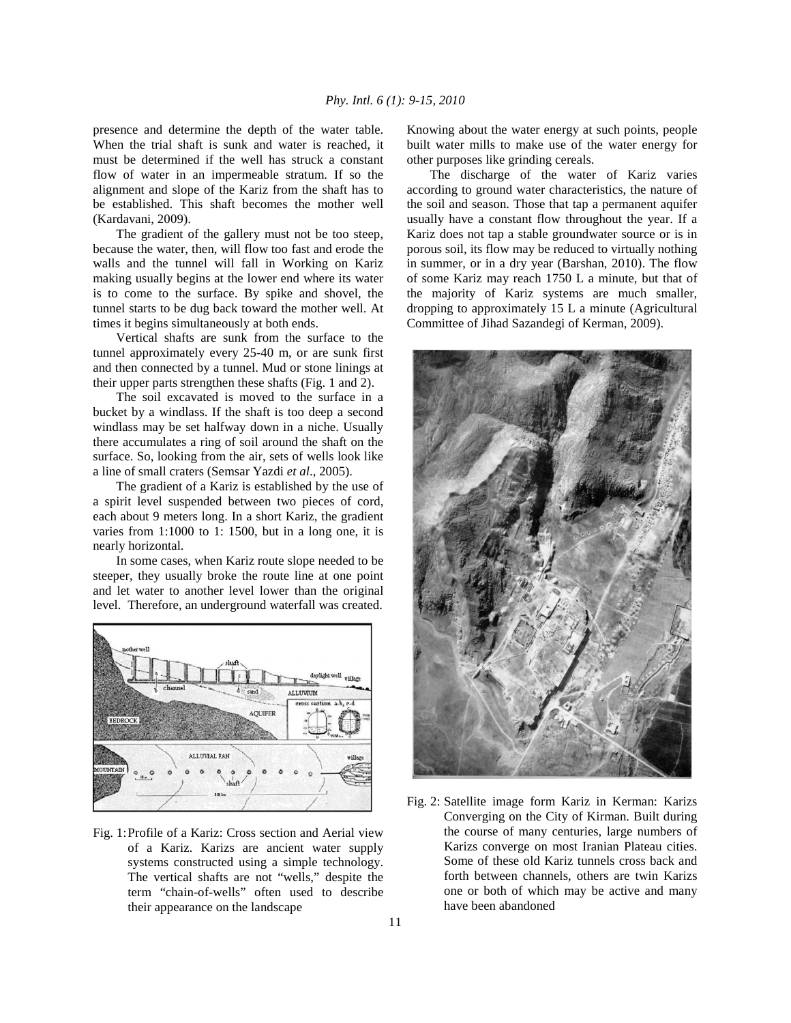presence and determine the depth of the water table. When the trial shaft is sunk and water is reached, it must be determined if the well has struck a constant flow of water in an impermeable stratum. If so the alignment and slope of the Kariz from the shaft has to be established. This shaft becomes the mother well (Kardavani, 2009).

 The gradient of the gallery must not be too steep, because the water, then, will flow too fast and erode the walls and the tunnel will fall in Working on Kariz making usually begins at the lower end where its water is to come to the surface. By spike and shovel, the tunnel starts to be dug back toward the mother well. At times it begins simultaneously at both ends.

 Vertical shafts are sunk from the surface to the tunnel approximately every 25-40 m, or are sunk first and then connected by a tunnel. Mud or stone linings at their upper parts strengthen these shafts (Fig. 1 and 2).

 The soil excavated is moved to the surface in a bucket by a windlass. If the shaft is too deep a second windlass may be set halfway down in a niche. Usually there accumulates a ring of soil around the shaft on the surface. So, looking from the air, sets of wells look like a line of small craters (Semsar Yazdi *et al*., 2005).

 The gradient of a Kariz is established by the use of a spirit level suspended between two pieces of cord, each about 9 meters long. In a short Kariz, the gradient varies from 1:1000 to 1: 1500, but in a long one, it is nearly horizontal.

 In some cases, when Kariz route slope needed to be steeper, they usually broke the route line at one point and let water to another level lower than the original level. Therefore, an underground waterfall was created.



Fig. 1: Profile of a Kariz: Cross section and Aerial view of a Kariz. Karizs are ancient water supply systems constructed using a simple technology. The vertical shafts are not "wells," despite the term "chain-of-wells" often used to describe their appearance on the landscape

Knowing about the water energy at such points, people built water mills to make use of the water energy for other purposes like grinding cereals.

 The discharge of the water of Kariz varies according to ground water characteristics, the nature of the soil and season. Those that tap a permanent aquifer usually have a constant flow throughout the year. If a Kariz does not tap a stable groundwater source or is in porous soil, its flow may be reduced to virtually nothing in summer, or in a dry year (Barshan, 2010). The flow of some Kariz may reach 1750 L a minute, but that of the majority of Kariz systems are much smaller, dropping to approximately 15 L a minute (Agricultural Committee of Jihad Sazandegi of Kerman, 2009).



Fig. 2: Satellite image form Kariz in Kerman: Karizs Converging on the City of Kirman. Built during the course of many centuries, large numbers of Karizs converge on most Iranian Plateau cities. Some of these old Kariz tunnels cross back and forth between channels, others are twin Karizs one or both of which may be active and many have been abandoned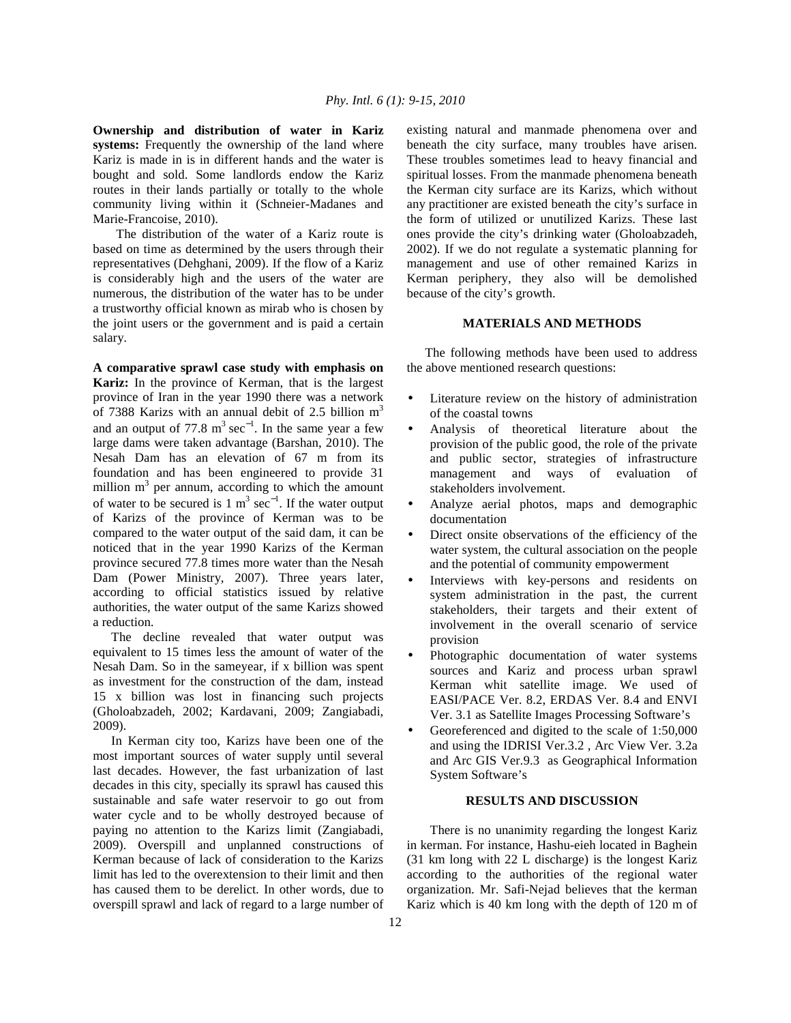**Ownership and distribution of water in Kariz systems:** Frequently the ownership of the land where Kariz is made in is in different hands and the water is bought and sold. Some landlords endow the Kariz routes in their lands partially or totally to the whole community living within it (Schneier-Madanes and Marie-Francoise, 2010).

 The distribution of the water of a Kariz route is based on time as determined by the users through their representatives (Dehghani, 2009). If the flow of a Kariz is considerably high and the users of the water are numerous, the distribution of the water has to be under a trustworthy official known as mirab who is chosen by the joint users or the government and is paid a certain salary.

**A comparative sprawl case study with emphasis on Kariz:** In the province of Kerman, that is the largest province of Iran in the year 1990 there was a network of 7388 Karizs with an annual debit of 2.5 billion  $m<sup>3</sup>$ and an output of 77.8 m<sup>3</sup> sec<sup>-1</sup>. In the same year a few large dams were taken advantage (Barshan, 2010). The Nesah Dam has an elevation of 67 m from its foundation and has been engineered to provide 31 million  $m<sup>3</sup>$  per annum, according to which the amount of water to be secured is 1 m<sup>3</sup> sec<sup>-1</sup>. If the water output of Karizs of the province of Kerman was to be compared to the water output of the said dam, it can be noticed that in the year 1990 Karizs of the Kerman province secured 77.8 times more water than the Nesah Dam (Power Ministry, 2007). Three years later, according to official statistics issued by relative authorities, the water output of the same Karizs showed a reduction.

The decline revealed that water output was equivalent to 15 times less the amount of water of the Nesah Dam. So in the sameyear, if x billion was spent as investment for the construction of the dam, instead 15 x billion was lost in financing such projects (Gholoabzadeh, 2002; Kardavani, 2009; Zangiabadi, 2009).

In Kerman city too, Karizs have been one of the most important sources of water supply until several last decades. However, the fast urbanization of last decades in this city, specially its sprawl has caused this sustainable and safe water reservoir to go out from water cycle and to be wholly destroyed because of paying no attention to the Karizs limit (Zangiabadi, 2009). Overspill and unplanned constructions of Kerman because of lack of consideration to the Karizs limit has led to the overextension to their limit and then has caused them to be derelict. In other words, due to overspill sprawl and lack of regard to a large number of

existing natural and manmade phenomena over and beneath the city surface, many troubles have arisen. These troubles sometimes lead to heavy financial and spiritual losses. From the manmade phenomena beneath the Kerman city surface are its Karizs, which without any practitioner are existed beneath the city's surface in the form of utilized or unutilized Karizs. These last ones provide the city's drinking water (Gholoabzadeh, 2002). If we do not regulate a systematic planning for management and use of other remained Karizs in Kerman periphery, they also will be demolished because of the city's growth.

### **MATERIALS AND METHODS**

The following methods have been used to address the above mentioned research questions:

- Literature review on the history of administration of the coastal towns
- Analysis of theoretical literature about the provision of the public good, the role of the private and public sector, strategies of infrastructure management and ways of evaluation of stakeholders involvement.
- Analyze aerial photos, maps and demographic documentation
- Direct onsite observations of the efficiency of the water system, the cultural association on the people and the potential of community empowerment
- Interviews with key-persons and residents on system administration in the past, the current stakeholders, their targets and their extent of involvement in the overall scenario of service provision
- Photographic documentation of water systems sources and Kariz and process urban sprawl Kerman whit satellite image. We used of EASI/PACE Ver. 8.2, ERDAS Ver. 8.4 and ENVI Ver. 3.1 as Satellite Images Processing Software's
- Georeferenced and digited to the scale of 1:50,000 and using the IDRISI Ver.3.2 , Arc View Ver. 3.2a and Arc GIS Ver.9.3 as Geographical Information System Software's

### **RESULTS AND DISCUSSION**

 There is no unanimity regarding the longest Kariz in kerman. For instance, Hashu-eieh located in Baghein (31 km long with 22 L discharge) is the longest Kariz according to the authorities of the regional water organization. Mr. Safi-Nejad believes that the kerman Kariz which is 40 km long with the depth of 120 m of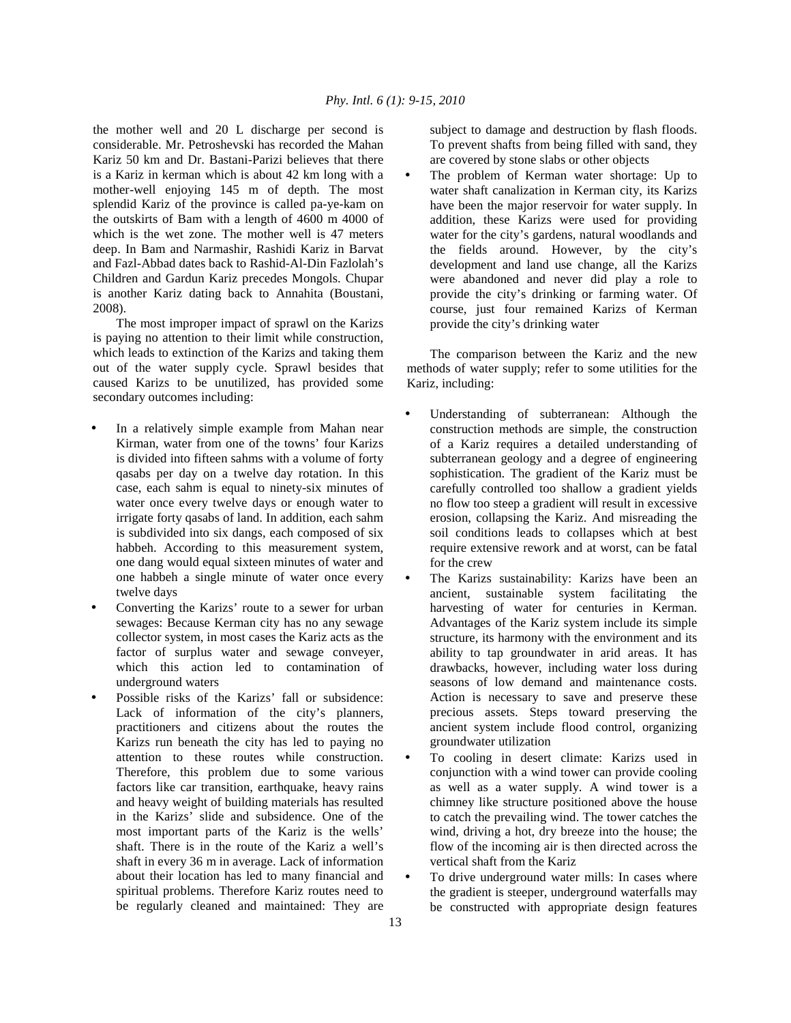the mother well and 20 L discharge per second is considerable. Mr. Petroshevski has recorded the Mahan Kariz 50 km and Dr. Bastani-Parizi believes that there is a Kariz in kerman which is about 42 km long with a mother-well enjoying 145 m of depth. The most splendid Kariz of the province is called pa-ye-kam on the outskirts of Bam with a length of 4600 m 4000 of which is the wet zone. The mother well is 47 meters deep. In Bam and Narmashir, Rashidi Kariz in Barvat and Fazl-Abbad dates back to Rashid-Al-Din Fazlolah's Children and Gardun Kariz precedes Mongols. Chupar is another Kariz dating back to Annahita (Boustani, 2008).

The most improper impact of sprawl on the Karizs is paying no attention to their limit while construction, which leads to extinction of the Karizs and taking them out of the water supply cycle. Sprawl besides that caused Karizs to be unutilized, has provided some secondary outcomes including:

- In a relatively simple example from Mahan near Kirman, water from one of the towns' four Karizs is divided into fifteen sahms with a volume of forty qasabs per day on a twelve day rotation. In this case, each sahm is equal to ninety-six minutes of water once every twelve days or enough water to irrigate forty qasabs of land. In addition, each sahm is subdivided into six dangs, each composed of six habbeh. According to this measurement system, one dang would equal sixteen minutes of water and one habbeh a single minute of water once every twelve days
- Converting the Karizs' route to a sewer for urban sewages: Because Kerman city has no any sewage collector system, in most cases the Kariz acts as the factor of surplus water and sewage conveyer, which this action led to contamination of underground waters
- Possible risks of the Karizs' fall or subsidence: Lack of information of the city's planners, practitioners and citizens about the routes the Karizs run beneath the city has led to paying no attention to these routes while construction. Therefore, this problem due to some various factors like car transition, earthquake, heavy rains and heavy weight of building materials has resulted in the Karizs' slide and subsidence. One of the most important parts of the Kariz is the wells' shaft. There is in the route of the Kariz a well's shaft in every 36 m in average. Lack of information about their location has led to many financial and spiritual problems. Therefore Kariz routes need to be regularly cleaned and maintained: They are

subject to damage and destruction by flash floods. To prevent shafts from being filled with sand, they are covered by stone slabs or other objects

The problem of Kerman water shortage: Up to water shaft canalization in Kerman city, its Karizs have been the major reservoir for water supply. In addition, these Karizs were used for providing water for the city's gardens, natural woodlands and the fields around. However, by the city's development and land use change, all the Karizs were abandoned and never did play a role to provide the city's drinking or farming water. Of course, just four remained Karizs of Kerman provide the city's drinking water

 The comparison between the Kariz and the new methods of water supply; refer to some utilities for the Kariz, including:

- Understanding of subterranean: Although the construction methods are simple, the construction of a Kariz requires a detailed understanding of subterranean geology and a degree of engineering sophistication. The gradient of the Kariz must be carefully controlled too shallow a gradient yields no flow too steep a gradient will result in excessive erosion, collapsing the Kariz. And misreading the soil conditions leads to collapses which at best require extensive rework and at worst, can be fatal for the crew
- The Karizs sustainability: Karizs have been an ancient, sustainable system facilitating the harvesting of water for centuries in Kerman. Advantages of the Kariz system include its simple structure, its harmony with the environment and its ability to tap groundwater in arid areas. It has drawbacks, however, including water loss during seasons of low demand and maintenance costs. Action is necessary to save and preserve these precious assets. Steps toward preserving the ancient system include flood control, organizing groundwater utilization
- To cooling in desert climate: Karizs used in conjunction with a wind tower can provide cooling as well as a water supply. A wind tower is a chimney like structure positioned above the house to catch the prevailing wind. The tower catches the wind, driving a hot, dry breeze into the house; the flow of the incoming air is then directed across the vertical shaft from the Kariz
- To drive underground water mills: In cases where the gradient is steeper, underground waterfalls may be constructed with appropriate design features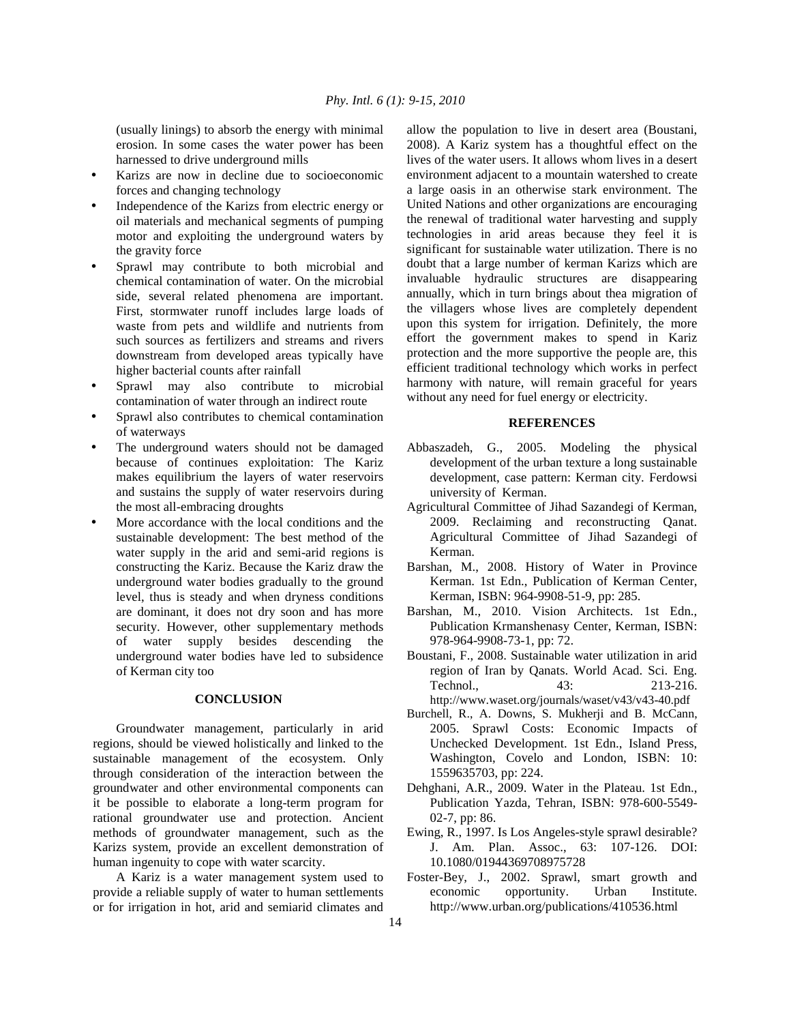(usually linings) to absorb the energy with minimal erosion. In some cases the water power has been harnessed to drive underground mills

- Karizs are now in decline due to socioeconomic forces and changing technology
- Independence of the Karizs from electric energy or oil materials and mechanical segments of pumping motor and exploiting the underground waters by the gravity force
- Sprawl may contribute to both microbial and chemical contamination of water. On the microbial side, several related phenomena are important. First, stormwater runoff includes large loads of waste from pets and wildlife and nutrients from such sources as fertilizers and streams and rivers downstream from developed areas typically have higher bacterial counts after rainfall
- Sprawl may also contribute to microbial contamination of water through an indirect route
- Sprawl also contributes to chemical contamination of waterways
- The underground waters should not be damaged because of continues exploitation: The Kariz makes equilibrium the layers of water reservoirs and sustains the supply of water reservoirs during the most all-embracing droughts
- More accordance with the local conditions and the sustainable development: The best method of the water supply in the arid and semi-arid regions is constructing the Kariz. Because the Kariz draw the underground water bodies gradually to the ground level, thus is steady and when dryness conditions are dominant, it does not dry soon and has more security. However, other supplementary methods of water supply besides descending the underground water bodies have led to subsidence of Kerman city too

#### **CONCLUSION**

 Groundwater management, particularly in arid regions, should be viewed holistically and linked to the sustainable management of the ecosystem. Only through consideration of the interaction between the groundwater and other environmental components can it be possible to elaborate a long-term program for rational groundwater use and protection. Ancient methods of groundwater management, such as the Karizs system, provide an excellent demonstration of human ingenuity to cope with water scarcity.

 A Kariz is a water management system used to provide a reliable supply of water to human settlements or for irrigation in hot, arid and semiarid climates and allow the population to live in desert area (Boustani, 2008). A Kariz system has a thoughtful effect on the lives of the water users. It allows whom lives in a desert environment adjacent to a mountain watershed to create a large oasis in an otherwise stark environment. The United Nations and other organizations are encouraging the renewal of traditional water harvesting and supply technologies in arid areas because they feel it is significant for sustainable water utilization. There is no doubt that a large number of kerman Karizs which are invaluable hydraulic structures are disappearing annually, which in turn brings about thea migration of the villagers whose lives are completely dependent upon this system for irrigation. Definitely, the more effort the government makes to spend in Kariz protection and the more supportive the people are, this efficient traditional technology which works in perfect harmony with nature, will remain graceful for years without any need for fuel energy or electricity.

### **REFERENCES**

- Abbaszadeh, G., 2005. Modeling the physical development of the urban texture a long sustainable development, case pattern: Kerman city. Ferdowsi university of Kerman.
- Agricultural Committee of Jihad Sazandegi of Kerman, 2009. Reclaiming and reconstructing Qanat. Agricultural Committee of Jihad Sazandegi of Kerman.
- Barshan, M., 2008. History of Water in Province Kerman. 1st Edn., Publication of Kerman Center, Kerman, ISBN: 964-9908-51-9, pp: 285.
- Barshan, M., 2010. Vision Architects. 1st Edn., Publication Krmanshenasy Center, Kerman, ISBN: 978-964-9908-73-1, pp: 72.
- Boustani, F., 2008. Sustainable water utilization in arid region of Iran by Qanats. World Acad. Sci. Eng. Technol.. 43: 213-216. http://www.waset.org/journals/waset/v43/v43-40.pdf
- Burchell, R., A. Downs, S. Mukherji and B. McCann, 2005. Sprawl Costs: Economic Impacts of Unchecked Development. 1st Edn., Island Press, Washington, Covelo and London, ISBN: 10: 1559635703, pp: 224.
- Dehghani, A.R., 2009. Water in the Plateau. 1st Edn., Publication Yazda, Tehran, ISBN: 978-600-5549- 02-7, pp: 86.
- Ewing, R., 1997. Is Los Angeles-style sprawl desirable? J. Am. Plan. Assoc., 63: 107-126. DOI: 10.1080/01944369708975728
- Foster-Bey, J., 2002. Sprawl, smart growth and economic opportunity. Urban Institute. http://www.urban.org/publications/410536.html